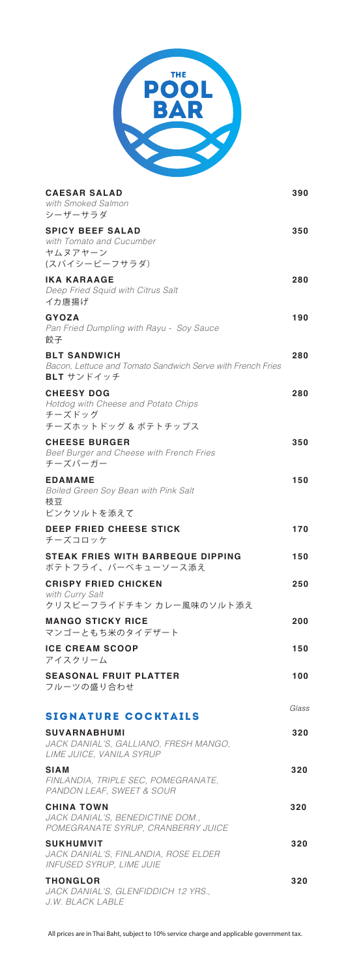

| <b>CAESAR SALAD</b><br>with Smoked Salmon<br>シーザーサラダ                                               | 390   |
|----------------------------------------------------------------------------------------------------|-------|
| <b>SPICY BEEF SALAD</b><br>with Tomato and Cucumber<br>ヤムヌアヤーン<br>(スパイシービーフサラダ)                    | 350   |
| <b>IKA KARAAGE</b><br>Deep Fried Squid with Citrus Salt<br>イカ唐揚げ                                   | 280   |
| <b>GYOZA</b><br>Pan Fried Dumpling with Rayu - Soy Sauce<br>餃子                                     | 190   |
| <b>BLT SANDWICH</b><br>Bacon, Lettuce and Tomato Sandwich Serve with French Fries<br>BLT サンドイッチ    | 280   |
| <b>CHEESY DOG</b><br>Hotdog with Cheese and Potato Chips<br>チーズドッグ                                 | 280   |
| チーズホットドッグ & ポテトチップス<br><b>CHEESE BURGER</b><br>Beef Burger and Cheese with French Fries<br>チーズバーガー | 350   |
| <b>EDAMAME</b><br>Boiled Green Soy Bean with Pink Salt<br>枝豆                                       | 150   |
| ピンクソルトを添えて<br><b>DEEP FRIED CHEESE STICK</b><br>チーズコロッケ                                            | 170   |
| <b>STEAK FRIES WITH BARBEQUE DIPPING</b><br>ポテトフライ、バーベキューソース添え                                     | 150   |
| <b>CRISPY FRIED CHICKEN</b><br>with Curry Salt<br>クリスピーフライドチキン カレー風味のソルト添え                         | 250   |
| <b>MANGO STICKY RICE</b><br>マンゴーともち米のタイデザート                                                        | 200   |
| <b>ICE CREAM SCOOP</b><br>アイスクリーム                                                                  | 150   |
| <b>SEASONAL FRUIT PLATTER</b><br>フルーツの盛り合わせ                                                        | 100   |
|                                                                                                    | Glass |
| <b>SIGNATURE COCKTAILS</b>                                                                         | 320   |
| <b>SUVARNABHUMI</b><br>JACK DANIAL'S, GALLIANO, FRESH MANGO,<br>LIME JUICE, VANILA SYRUP           |       |
| SIAM<br>FINLANDIA, TRIPLE SEC, POMEGRANATE,<br>PANDON LEAF, SWEET & SOUR                           | 320   |
| <b>CHINA TOWN</b><br>JACK DANIAL'S, BENEDICTINE DOM.,<br>POMEGRANATE SYRUP, CRANBERRY JUICE        | 320   |
| <b>SUKHUMVIT</b><br>JACK DANIAL'S, FINLANDIA, ROSE ELDER<br><b>INFUSED SYRUP, LIME JUIE</b>        | 320   |

All prices are in Thai Baht, subject to 10% service charge and applicable government tax.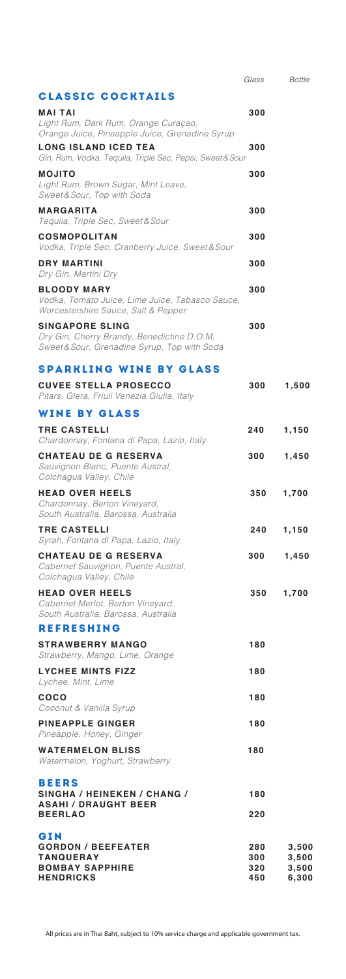|                                                                                                                      | Glass                    | <b>Bottle</b>                    |
|----------------------------------------------------------------------------------------------------------------------|--------------------------|----------------------------------|
| <b>CLASSIC COCKTAILS</b>                                                                                             |                          |                                  |
| <b>MAI TAI</b><br>Light Rum, Dark Rum, Orange Curaçao,<br>Orange Juice, Pineapple Juice, Grenadine Syrup             | 300                      |                                  |
| <b>LONG ISLAND ICED TEA</b><br>Gin, Rum, Vodka, Tequila, Triple Sec, Pepsi, Sweet&Sour                               | 300                      |                                  |
| <b>MOJITO</b><br>Light Rum, Brown Sugar, Mint Leave,<br>Sweet & Sour, Top with Soda                                  | 300                      |                                  |
| <b>MARGARITA</b><br>Tequila, Triple Sec, Sweet & Sour                                                                | 300                      |                                  |
| <b>COSMOPOLITAN</b><br>Vodka, Triple Sec, Cranberry Juice, Sweet & Sour                                              | 300                      |                                  |
| <b>DRY MARTINI</b><br>Dry Gin, Martini Dry                                                                           | 300                      |                                  |
| <b>BLOODY MARY</b><br>Vodka, Tomato Juice, Lime Juice, Tabasco Sauce,<br>Worcestershire Sauce, Salt & Pepper         | 300                      |                                  |
| <b>SINGAPORE SLING</b><br>Dry Gin, Cherry Brandy, Benedictine D.O.M,<br>Sweet & Sour, Grenadine Syrup, Top with Soda | 300                      |                                  |
| <b>SPARKLING WINE BY GLASS</b>                                                                                       |                          |                                  |
| <b>CUVEE STELLA PROSECCO</b><br>Pitars, Glera, Friuli Venezia Giulia, Italy                                          | 300                      | 1,500                            |
| <b>WINE BY GLASS</b>                                                                                                 |                          |                                  |
| <b>TRE CASTELLI</b><br>Chardonnay, Fontana di Papa, Lazio, Italy                                                     | 240                      | 1,150                            |
| <b>CHATEAU DE G RESERVA</b><br>Sauvignon Blanc, Puente Austral,<br>Colchagua Valley, Chile                           | 300                      | 1,450                            |
| <b>HEAD OVER HEELS</b><br>Chardonnay, Berton Vineyard,<br>South Australia, Barossa, Australia                        | 350                      | 1,700                            |
| <b>TRE CASTELLI</b><br>Syrah, Fontana di Papa, Lazio, Italy                                                          | 240                      | 1,150                            |
| <b>CHATEAU DE G RESERVA</b><br>Cabernet Sauvignon, Puente Austral,<br>Colchagua Valley, Chile                        | 300                      | 1,450                            |
| <b>HEAD OVER HEELS</b><br>Cabernet Merlot, Berton Vineyard,<br>South Australia, Barossa, Australia                   | 350                      | 1,700                            |
| <b>REFRESHING</b>                                                                                                    |                          |                                  |
| <b>STRAWBERRY MANGO</b><br>Strawberry, Mango, Lime, Orange                                                           | 180                      |                                  |
| <b>LYCHEE MINTS FIZZ</b><br>Lychee, Mint, Lime                                                                       | 180                      |                                  |
| coco<br>Coconut & Vanilla Syrup                                                                                      | 180                      |                                  |
| <b>PINEAPPLE GINGER</b><br>Pineapple, Honey, Ginger                                                                  | 180                      |                                  |
| <b>WATERMELON BLISS</b><br>Watermelon, Yoghurt, Strawberry                                                           | 180                      |                                  |
| <b>BEERS</b>                                                                                                         |                          |                                  |
| SINGHA / HEINEKEN / CHANG /<br><b>ASAHI / DRAUGHT BEER</b>                                                           | 180                      |                                  |
| <b>BEERLAO</b>                                                                                                       | 220                      |                                  |
| GIN<br><b>GORDON / BEEFEATER</b><br><b>TANQUERAY</b><br><b>BOMBAY SAPPHIRE</b><br><b>HENDRICKS</b>                   | 280<br>300<br>320<br>450 | 3,500<br>3,500<br>3,500<br>6,300 |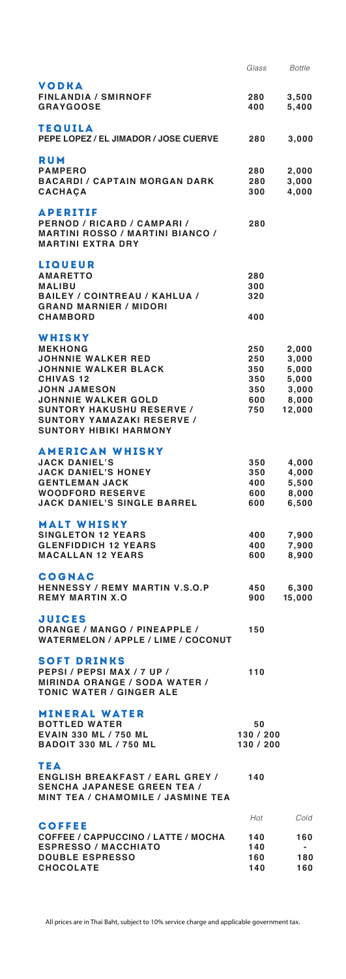|                                                                                                                                             | Glass           | <b>Bottle</b>  |
|---------------------------------------------------------------------------------------------------------------------------------------------|-----------------|----------------|
| VODKA<br><b>FINLANDIA / SMIRNOFF</b>                                                                                                        | 280             | 3,500          |
| <b>GRAYGOOSE</b>                                                                                                                            | 400             | 5,400          |
| TEQUILA<br>PEPE LOPEZ / EL JIMADOR / JOSE CUERVE                                                                                            | 280             | 3,000          |
| <b>RUM</b><br><b>PAMPERO</b>                                                                                                                | 280             | 2,000          |
| <b>BACARDI / CAPTAIN MORGAN DARK</b><br><b>CACHACA</b>                                                                                      | 280<br>300      | 3,000<br>4,000 |
| <b>APERITIF</b><br>PERNOD / RICARD / CAMPARI /<br><b>MARTINI ROSSO / MARTINI BIANCO /</b><br><b>MARTINI EXTRA DRY</b>                       | 280             |                |
| LIQUEUR                                                                                                                                     |                 |                |
| <b>AMARETTO</b><br><b>MALIBU</b>                                                                                                            | 280<br>300      |                |
| <b>BAILEY / COINTREAU / KAHLUA /</b><br><b>GRAND MARNIER / MIDORI</b>                                                                       | 320             |                |
| <b>CHAMBORD</b>                                                                                                                             | 400             |                |
| WHISKY<br><b>MEKHONG</b>                                                                                                                    | 250             | 2,000          |
| <b>JOHNNIE WALKER RED</b><br><b>JOHNNIE WALKER BLACK</b>                                                                                    | 250<br>350      | 3,000          |
| <b>CHIVAS 12</b>                                                                                                                            | 350             | 5,000<br>5,000 |
| <b>JOHN JAMESON</b>                                                                                                                         | 350             | 3,000          |
| <b>JOHNNIE WALKER GOLD</b>                                                                                                                  | 600             | 8,000          |
| <b>SUNTORY HAKUSHU RESERVE /</b><br><b>SUNTORY YAMAZAKI RESERVE /</b><br><b>SUNTORY HIBIKI HARMONY</b>                                      | 750             | 12,000         |
| <b>AMERICAN WHISKY</b><br><b>JACK DANIEL'S</b>                                                                                              | 350             | 4,000          |
| <b>JACK DANIEL'S HONEY</b>                                                                                                                  | 350             | 4,000          |
| <b>GENTLEMAN JACK</b>                                                                                                                       | 400             | 5,500          |
| <b>WOODFORD RESERVE</b><br><b>JACK DANIEL'S SINGLE BARREL</b>                                                                               | 600<br>600      | 8,000<br>6,500 |
| <b>MALT WHISKY</b>                                                                                                                          |                 |                |
| <b>SINGLETON 12 YEARS</b><br><b>GLENFIDDICH 12 YEARS</b>                                                                                    | 400<br>400      | 7,900<br>7,900 |
| <b>MACALLAN 12 YEARS</b>                                                                                                                    | 600             | 8,900          |
| <b>COGNAC</b><br><b>HENNESSY / REMY MARTIN V.S.O.P</b>                                                                                      | 450             | 6,300          |
| <b>REMY MARTIN X.O</b>                                                                                                                      | 900             | 15,000         |
| <b>JUICES</b><br><b>ORANGE / MANGO / PINEAPPLE /</b><br><b>WATERMELON / APPLE / LIME / COCONUT</b>                                          | 150             |                |
| <b>SOFT DRINKS</b>                                                                                                                          |                 |                |
| PEPSI/PEPSIMAX/7UP/<br><b>MIRINDA ORANGE / SODA WATER /</b><br><b>TONIC WATER / GINGER ALE</b>                                              | 110             |                |
| <b>MINERAL WATER</b>                                                                                                                        |                 |                |
| <b>BOTTLED WATER</b><br>EVAIN 330 ML / 750 ML                                                                                               | 50<br>130 / 200 |                |
| <b>BADOIT 330 ML / 750 ML</b>                                                                                                               | 130 / 200       |                |
| <b>TEA</b><br><b>ENGLISH BREAKFAST / EARL GREY / 140</b><br><b>SENCHA JAPANESE GREEN TEA /</b><br><b>MINT TEA / CHAMOMILE / JASMINE TEA</b> |                 |                |
|                                                                                                                                             | Hot             | Cold           |
| <b>COFFEE</b><br>COFFEE / CAPPUCCINO / LATTE / MOCHA                                                                                        | 140             | 160            |
| <b>ESPRESSO / MACCHIATO</b>                                                                                                                 | 140             | ۰              |
| <b>DOUBLE ESPRESSO</b>                                                                                                                      | 160             | 180            |
| <b>CHOCOLATE</b>                                                                                                                            | 140             | 160            |

All prices are in Thai Baht, subject to 10% service charge and applicable government tax.